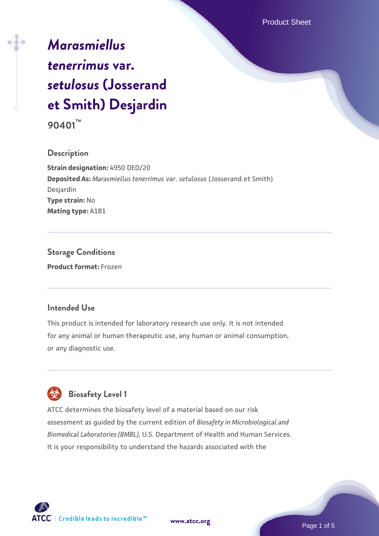# *[Marasmiellus](https://www.atcc.org/products/90401) [tenerrimus](https://www.atcc.org/products/90401)* **[var.](https://www.atcc.org/products/90401)** *[setulosus](https://www.atcc.org/products/90401)* **[\(Josserand](https://www.atcc.org/products/90401) [et Smith\) Desjardin](https://www.atcc.org/products/90401)**

**90401™**

## **Description**

**Strain designation:** 4950 DED/20 **Deposited As:** *Marasmiellus tenerrimus* var. *setulosus* (Josserand et Smith) Desjardin **Type strain:** No **Mating type:** A1B1

**Storage Conditions Product format:** Frozen

## **Intended Use**

This product is intended for laboratory research use only. It is not intended for any animal or human therapeutic use, any human or animal consumption, or any diagnostic use.



## **Biosafety Level 1**

ATCC determines the biosafety level of a material based on our risk assessment as guided by the current edition of *Biosafety in Microbiological and Biomedical Laboratories (BMBL)*, U.S. Department of Health and Human Services. It is your responsibility to understand the hazards associated with the

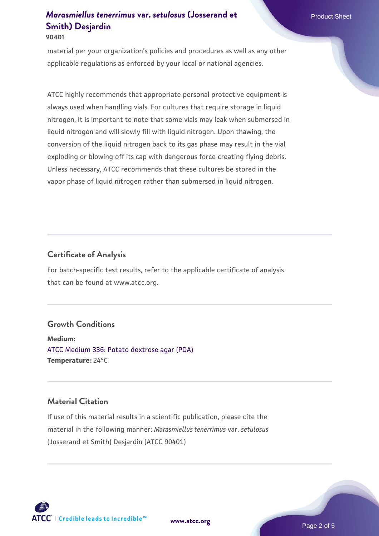#### **90401**

material per your organization's policies and procedures as well as any other applicable regulations as enforced by your local or national agencies.

ATCC highly recommends that appropriate personal protective equipment is always used when handling vials. For cultures that require storage in liquid nitrogen, it is important to note that some vials may leak when submersed in liquid nitrogen and will slowly fill with liquid nitrogen. Upon thawing, the conversion of the liquid nitrogen back to its gas phase may result in the vial exploding or blowing off its cap with dangerous force creating flying debris. Unless necessary, ATCC recommends that these cultures be stored in the vapor phase of liquid nitrogen rather than submersed in liquid nitrogen.

## **Certificate of Analysis**

For batch-specific test results, refer to the applicable certificate of analysis that can be found at www.atcc.org.

#### **Growth Conditions**

**Medium:**  [ATCC Medium 336: Potato dextrose agar \(PDA\)](https://www.atcc.org/-/media/product-assets/documents/microbial-media-formulations/3/3/6/atcc-medium-336.pdf?rev=d9160ad44d934cd8b65175461abbf3b9) **Temperature:** 24°C

## **Material Citation**

If use of this material results in a scientific publication, please cite the material in the following manner: *Marasmiellus tenerrimus* var. *setulosus* (Josserand et Smith) Desjardin (ATCC 90401)

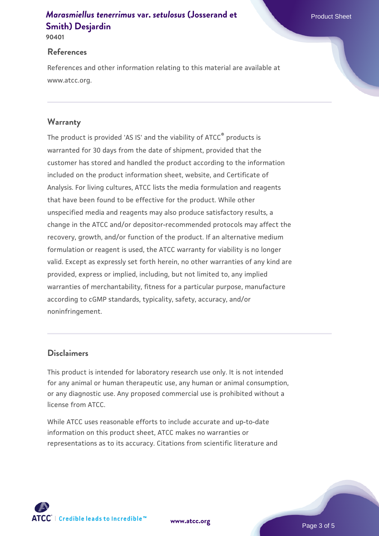**90401**

## **References**

References and other information relating to this material are available at www.atcc.org.

## **Warranty**

The product is provided 'AS IS' and the viability of ATCC® products is warranted for 30 days from the date of shipment, provided that the customer has stored and handled the product according to the information included on the product information sheet, website, and Certificate of Analysis. For living cultures, ATCC lists the media formulation and reagents that have been found to be effective for the product. While other unspecified media and reagents may also produce satisfactory results, a change in the ATCC and/or depositor-recommended protocols may affect the recovery, growth, and/or function of the product. If an alternative medium formulation or reagent is used, the ATCC warranty for viability is no longer valid. Except as expressly set forth herein, no other warranties of any kind are provided, express or implied, including, but not limited to, any implied warranties of merchantability, fitness for a particular purpose, manufacture according to cGMP standards, typicality, safety, accuracy, and/or noninfringement.

## **Disclaimers**

This product is intended for laboratory research use only. It is not intended for any animal or human therapeutic use, any human or animal consumption, or any diagnostic use. Any proposed commercial use is prohibited without a license from ATCC.

While ATCC uses reasonable efforts to include accurate and up-to-date information on this product sheet, ATCC makes no warranties or representations as to its accuracy. Citations from scientific literature and

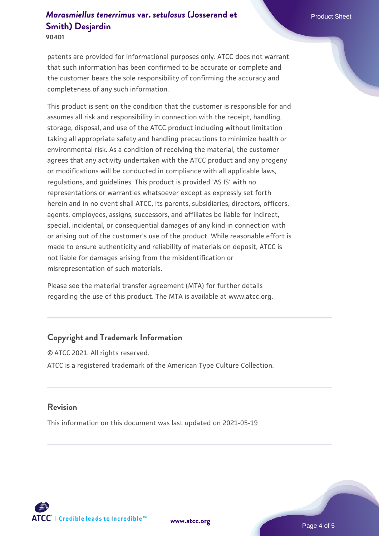**90401**

patents are provided for informational purposes only. ATCC does not warrant that such information has been confirmed to be accurate or complete and the customer bears the sole responsibility of confirming the accuracy and completeness of any such information.

This product is sent on the condition that the customer is responsible for and assumes all risk and responsibility in connection with the receipt, handling, storage, disposal, and use of the ATCC product including without limitation taking all appropriate safety and handling precautions to minimize health or environmental risk. As a condition of receiving the material, the customer agrees that any activity undertaken with the ATCC product and any progeny or modifications will be conducted in compliance with all applicable laws, regulations, and guidelines. This product is provided 'AS IS' with no representations or warranties whatsoever except as expressly set forth herein and in no event shall ATCC, its parents, subsidiaries, directors, officers, agents, employees, assigns, successors, and affiliates be liable for indirect, special, incidental, or consequential damages of any kind in connection with or arising out of the customer's use of the product. While reasonable effort is made to ensure authenticity and reliability of materials on deposit, ATCC is not liable for damages arising from the misidentification or misrepresentation of such materials.

Please see the material transfer agreement (MTA) for further details regarding the use of this product. The MTA is available at www.atcc.org.

## **Copyright and Trademark Information**

© ATCC 2021. All rights reserved. ATCC is a registered trademark of the American Type Culture Collection.

## **Revision**

This information on this document was last updated on 2021-05-19



**[www.atcc.org](http://www.atcc.org)**

Page 4 of 5